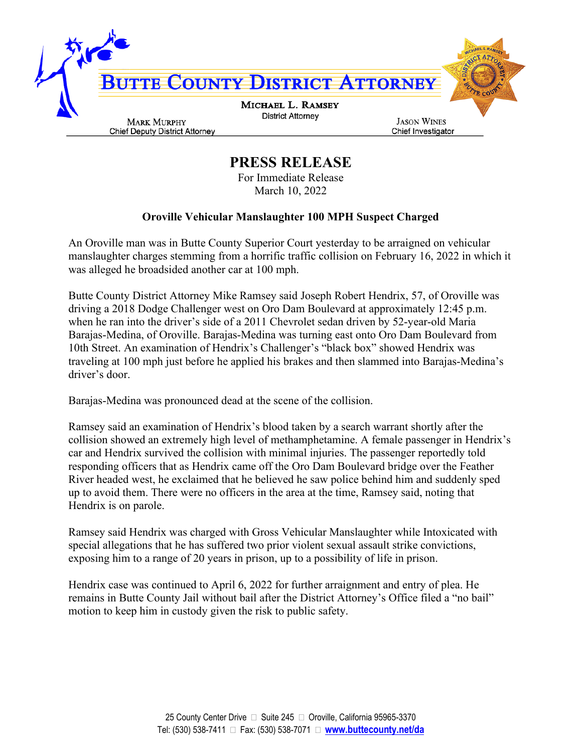

## **PRESS RELEASE**

For Immediate Release March 10, 2022

## **Oroville Vehicular Manslaughter 100 MPH Suspect Charged**

An Oroville man was in Butte County Superior Court yesterday to be arraigned on vehicular manslaughter charges stemming from a horrific traffic collision on February 16, 2022 in which it was alleged he broadsided another car at 100 mph.

Butte County District Attorney Mike Ramsey said Joseph Robert Hendrix, 57, of Oroville was driving a 2018 Dodge Challenger west on Oro Dam Boulevard at approximately 12:45 p.m. when he ran into the driver's side of a 2011 Chevrolet sedan driven by 52-year-old Maria Barajas-Medina, of Oroville. Barajas-Medina was turning east onto Oro Dam Boulevard from 10th Street. An examination of Hendrix's Challenger's "black box" showed Hendrix was traveling at 100 mph just before he applied his brakes and then slammed into Barajas-Medina's driver's door.

Barajas-Medina was pronounced dead at the scene of the collision.

Ramsey said an examination of Hendrix's blood taken by a search warrant shortly after the collision showed an extremely high level of methamphetamine. A female passenger in Hendrix's car and Hendrix survived the collision with minimal injuries. The passenger reportedly told responding officers that as Hendrix came off the Oro Dam Boulevard bridge over the Feather River headed west, he exclaimed that he believed he saw police behind him and suddenly sped up to avoid them. There were no officers in the area at the time, Ramsey said, noting that Hendrix is on parole.

Ramsey said Hendrix was charged with Gross Vehicular Manslaughter while Intoxicated with special allegations that he has suffered two prior violent sexual assault strike convictions, exposing him to a range of 20 years in prison, up to a possibility of life in prison.

Hendrix case was continued to April 6, 2022 for further arraignment and entry of plea. He remains in Butte County Jail without bail after the District Attorney's Office filed a "no bail" motion to keep him in custody given the risk to public safety.